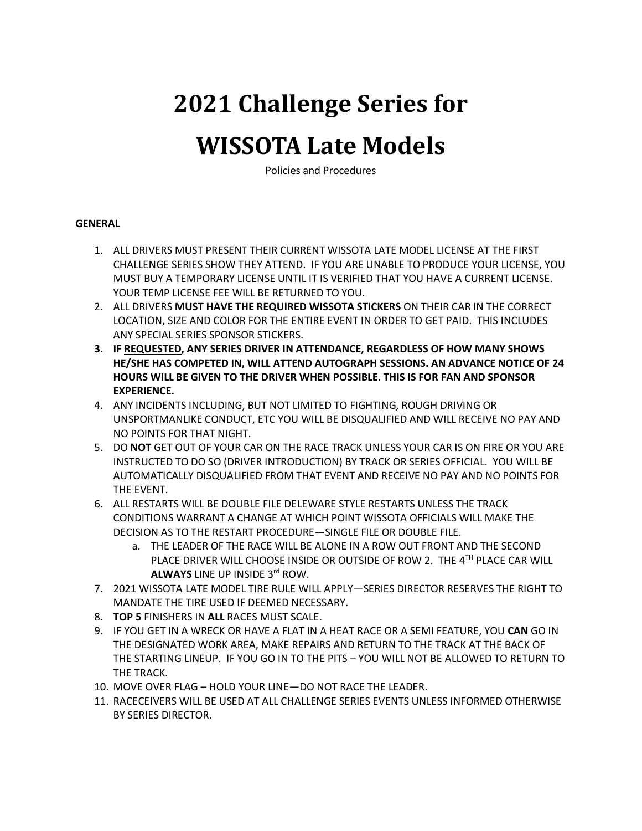# **2021 Challenge Series for**

## **WISSOTA Late Models**

Policies and Procedures

#### **GENERAL**

- 1. ALL DRIVERS MUST PRESENT THEIR CURRENT WISSOTA LATE MODEL LICENSE AT THE FIRST CHALLENGE SERIES SHOW THEY ATTEND. IF YOU ARE UNABLE TO PRODUCE YOUR LICENSE, YOU MUST BUY A TEMPORARY LICENSE UNTIL IT IS VERIFIED THAT YOU HAVE A CURRENT LICENSE. YOUR TEMP LICENSE FEE WILL BE RETURNED TO YOU.
- 2. ALL DRIVERS **MUST HAVE THE REQUIRED WISSOTA STICKERS** ON THEIR CAR IN THE CORRECT LOCATION, SIZE AND COLOR FOR THE ENTIRE EVENT IN ORDER TO GET PAID. THIS INCLUDES ANY SPECIAL SERIES SPONSOR STICKERS.
- **3. IF REQUESTED, ANY SERIES DRIVER IN ATTENDANCE, REGARDLESS OF HOW MANY SHOWS HE/SHE HAS COMPETED IN, WILL ATTEND AUTOGRAPH SESSIONS. AN ADVANCE NOTICE OF 24 HOURS WILL BE GIVEN TO THE DRIVER WHEN POSSIBLE. THIS IS FOR FAN AND SPONSOR EXPERIENCE.**
- 4. ANY INCIDENTS INCLUDING, BUT NOT LIMITED TO FIGHTING, ROUGH DRIVING OR UNSPORTMANLIKE CONDUCT, ETC YOU WILL BE DISQUALIFIED AND WILL RECEIVE NO PAY AND NO POINTS FOR THAT NIGHT.
- 5. DO **NOT** GET OUT OF YOUR CAR ON THE RACE TRACK UNLESS YOUR CAR IS ON FIRE OR YOU ARE INSTRUCTED TO DO SO (DRIVER INTRODUCTION) BY TRACK OR SERIES OFFICIAL. YOU WILL BE AUTOMATICALLY DISQUALIFIED FROM THAT EVENT AND RECEIVE NO PAY AND NO POINTS FOR THE EVENT.
- 6. ALL RESTARTS WILL BE DOUBLE FILE DELEWARE STYLE RESTARTS UNLESS THE TRACK CONDITIONS WARRANT A CHANGE AT WHICH POINT WISSOTA OFFICIALS WILL MAKE THE DECISION AS TO THE RESTART PROCEDURE—SINGLE FILE OR DOUBLE FILE.
	- a. THE LEADER OF THE RACE WILL BE ALONE IN A ROW OUT FRONT AND THE SECOND PLACE DRIVER WILL CHOOSE INSIDE OR OUTSIDE OF ROW 2. THE 4TH PLACE CAR WILL **ALWAYS** LINE UP INSIDE 3rd ROW.
- 7. 2021 WISSOTA LATE MODEL TIRE RULE WILL APPLY—SERIES DIRECTOR RESERVES THE RIGHT TO MANDATE THE TIRE USED IF DEEMED NECESSARY.
- 8. **TOP 5** FINISHERS IN **ALL** RACES MUST SCALE.
- 9. IF YOU GET IN A WRECK OR HAVE A FLAT IN A HEAT RACE OR A SEMI FEATURE, YOU **CAN** GO IN THE DESIGNATED WORK AREA, MAKE REPAIRS AND RETURN TO THE TRACK AT THE BACK OF THE STARTING LINEUP. IF YOU GO IN TO THE PITS – YOU WILL NOT BE ALLOWED TO RETURN TO THE TRACK.
- 10. MOVE OVER FLAG HOLD YOUR LINE—DO NOT RACE THE LEADER.
- 11. RACECEIVERS WILL BE USED AT ALL CHALLENGE SERIES EVENTS UNLESS INFORMED OTHERWISE BY SERIES DIRECTOR.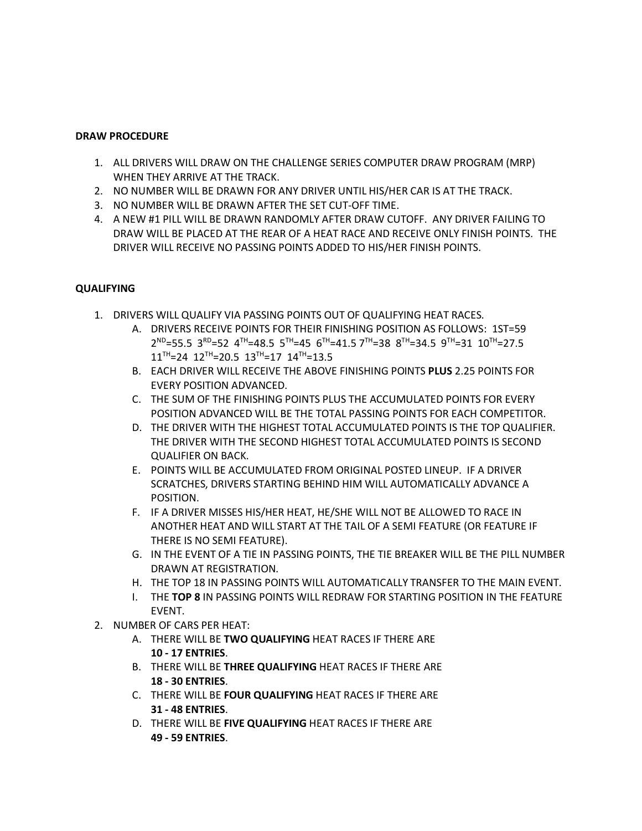#### **DRAW PROCEDURE**

- 1. ALL DRIVERS WILL DRAW ON THE CHALLENGE SERIES COMPUTER DRAW PROGRAM (MRP) WHEN THEY ARRIVE AT THE TRACK.
- 2. NO NUMBER WILL BE DRAWN FOR ANY DRIVER UNTIL HIS/HER CAR IS AT THE TRACK.
- 3. NO NUMBER WILL BE DRAWN AFTER THE SET CUT-OFF TIME.
- 4. A NEW #1 PILL WILL BE DRAWN RANDOMLY AFTER DRAW CUTOFF. ANY DRIVER FAILING TO DRAW WILL BE PLACED AT THE REAR OF A HEAT RACE AND RECEIVE ONLY FINISH POINTS. THE DRIVER WILL RECEIVE NO PASSING POINTS ADDED TO HIS/HER FINISH POINTS.

#### **QUALIFYING**

- 1. DRIVERS WILL QUALIFY VIA PASSING POINTS OUT OF QUALIFYING HEAT RACES.
	- A. DRIVERS RECEIVE POINTS FOR THEIR FINISHING POSITION AS FOLLOWS: 1ST=59  $2^{ND}$ =55.5 3 $^{RD}$ =52 4<sup>TH</sup>=48.5 5<sup>TH</sup>=45 6<sup>TH</sup>=41.5 7<sup>TH</sup>=38 8<sup>TH</sup>=34.5 9<sup>TH</sup>=31 10<sup>TH</sup>=27.5  $11^{TH}$ =24  $12^{TH}$ =20.5  $13^{TH}$ =17  $14^{TH}$ =13.5
	- B. EACH DRIVER WILL RECEIVE THE ABOVE FINISHING POINTS **PLUS** 2.25 POINTS FOR EVERY POSITION ADVANCED.
	- C. THE SUM OF THE FINISHING POINTS PLUS THE ACCUMULATED POINTS FOR EVERY POSITION ADVANCED WILL BE THE TOTAL PASSING POINTS FOR EACH COMPETITOR.
	- D. THE DRIVER WITH THE HIGHEST TOTAL ACCUMULATED POINTS IS THE TOP QUALIFIER. THE DRIVER WITH THE SECOND HIGHEST TOTAL ACCUMULATED POINTS IS SECOND QUALIFIER ON BACK.
	- E. POINTS WILL BE ACCUMULATED FROM ORIGINAL POSTED LINEUP. IF A DRIVER SCRATCHES, DRIVERS STARTING BEHIND HIM WILL AUTOMATICALLY ADVANCE A POSITION.
	- F. IF A DRIVER MISSES HIS/HER HEAT, HE/SHE WILL NOT BE ALLOWED TO RACE IN ANOTHER HEAT AND WILL START AT THE TAIL OF A SEMI FEATURE (OR FEATURE IF THERE IS NO SEMI FEATURE).
	- G. IN THE EVENT OF A TIE IN PASSING POINTS, THE TIE BREAKER WILL BE THE PILL NUMBER DRAWN AT REGISTRATION.
	- H. THE TOP 18 IN PASSING POINTS WILL AUTOMATICALLY TRANSFER TO THE MAIN EVENT.
	- I. THE **TOP 8** IN PASSING POINTS WILL REDRAW FOR STARTING POSITION IN THE FEATURE EVENT.
- 2. NUMBER OF CARS PER HEAT:
	- A. THERE WILL BE **TWO QUALIFYING** HEAT RACES IF THERE ARE **10 - 17 ENTRIES**.
	- B. THERE WILL BE **THREE QUALIFYING** HEAT RACES IF THERE ARE **18 - 30 ENTRIES**.
	- C. THERE WILL BE **FOUR QUALIFYING** HEAT RACES IF THERE ARE **31 - 48 ENTRIES**.
	- D. THERE WILL BE **FIVE QUALIFYING** HEAT RACES IF THERE ARE **49 - 59 ENTRIES**.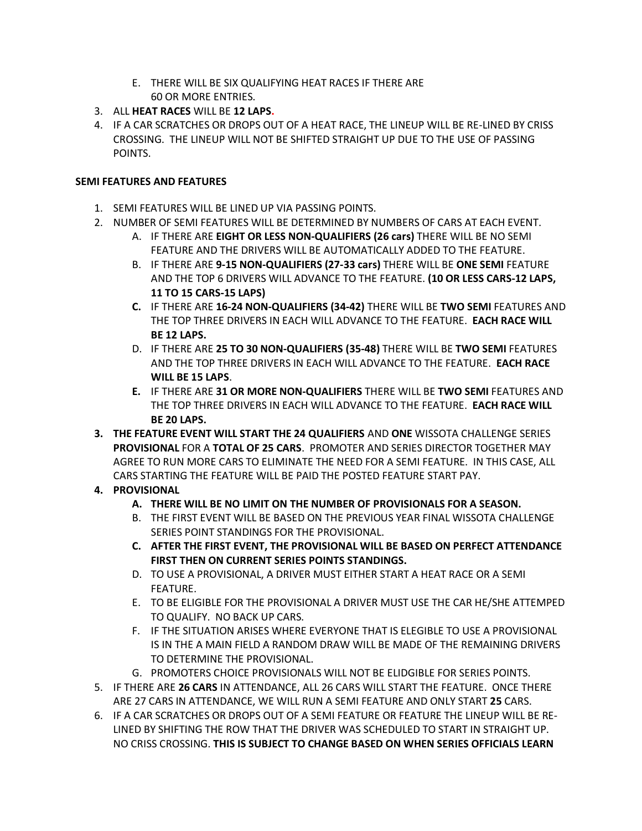- E. THERE WILL BE SIX QUALIFYING HEAT RACES IF THERE ARE 60 OR MORE ENTRIES.
- 3. ALL **HEAT RACES** WILL BE **12 LAPS.**
- 4. IF A CAR SCRATCHES OR DROPS OUT OF A HEAT RACE, THE LINEUP WILL BE RE-LINED BY CRISS CROSSING. THE LINEUP WILL NOT BE SHIFTED STRAIGHT UP DUE TO THE USE OF PASSING POINTS.

#### **SEMI FEATURES AND FEATURES**

- 1. SEMI FEATURES WILL BE LINED UP VIA PASSING POINTS.
- 2. NUMBER OF SEMI FEATURES WILL BE DETERMINED BY NUMBERS OF CARS AT EACH EVENT.
	- A. IF THERE ARE **EIGHT OR LESS NON-QUALIFIERS (26 cars)** THERE WILL BE NO SEMI FEATURE AND THE DRIVERS WILL BE AUTOMATICALLY ADDED TO THE FEATURE.
	- B. IF THERE ARE **9-15 NON-QUALIFIERS (27-33 cars)** THERE WILL BE **ONE SEMI** FEATURE AND THE TOP 6 DRIVERS WILL ADVANCE TO THE FEATURE. **(10 OR LESS CARS-12 LAPS, 11 TO 15 CARS-15 LAPS)**
	- **C.** IF THERE ARE **16-24 NON-QUALIFIERS (34-42)** THERE WILL BE **TWO SEMI** FEATURES AND THE TOP THREE DRIVERS IN EACH WILL ADVANCE TO THE FEATURE. **EACH RACE WILL BE 12 LAPS.**
	- D. IF THERE ARE **25 TO 30 NON-QUALIFIERS (35-48)** THERE WILL BE **TWO SEMI** FEATURES AND THE TOP THREE DRIVERS IN EACH WILL ADVANCE TO THE FEATURE. **EACH RACE WILL BE 15 LAPS**.
	- **E.** IF THERE ARE **31 OR MORE NON-QUALIFIERS** THERE WILL BE **TWO SEMI** FEATURES AND THE TOP THREE DRIVERS IN EACH WILL ADVANCE TO THE FEATURE. **EACH RACE WILL BE 20 LAPS.**
- **3. THE FEATURE EVENT WILL START THE 24 QUALIFIERS** AND **ONE** WISSOTA CHALLENGE SERIES **PROVISIONAL** FOR A **TOTAL OF 25 CARS**. PROMOTER AND SERIES DIRECTOR TOGETHER MAY AGREE TO RUN MORE CARS TO ELIMINATE THE NEED FOR A SEMI FEATURE. IN THIS CASE, ALL CARS STARTING THE FEATURE WILL BE PAID THE POSTED FEATURE START PAY.
- **4. PROVISIONAL**
	- **A. THERE WILL BE NO LIMIT ON THE NUMBER OF PROVISIONALS FOR A SEASON.**
	- B. THE FIRST EVENT WILL BE BASED ON THE PREVIOUS YEAR FINAL WISSOTA CHALLENGE SERIES POINT STANDINGS FOR THE PROVISIONAL.
	- **C. AFTER THE FIRST EVENT, THE PROVISIONAL WILL BE BASED ON PERFECT ATTENDANCE FIRST THEN ON CURRENT SERIES POINTS STANDINGS.**
	- D. TO USE A PROVISIONAL, A DRIVER MUST EITHER START A HEAT RACE OR A SEMI FEATURE.
	- E. TO BE ELIGIBLE FOR THE PROVISIONAL A DRIVER MUST USE THE CAR HE/SHE ATTEMPED TO QUALIFY. NO BACK UP CARS.
	- F. IF THE SITUATION ARISES WHERE EVERYONE THAT IS ELEGIBLE TO USE A PROVISIONAL IS IN THE A MAIN FIELD A RANDOM DRAW WILL BE MADE OF THE REMAINING DRIVERS TO DETERMINE THE PROVISIONAL.
	- G. PROMOTERS CHOICE PROVISIONALS WILL NOT BE ELIDGIBLE FOR SERIES POINTS.
- 5. IF THERE ARE **26 CARS** IN ATTENDANCE, ALL 26 CARS WILL START THE FEATURE. ONCE THERE ARE 27 CARS IN ATTENDANCE, WE WILL RUN A SEMI FEATURE AND ONLY START **25** CARS.
- 6. IF A CAR SCRATCHES OR DROPS OUT OF A SEMI FEATURE OR FEATURE THE LINEUP WILL BE RE-LINED BY SHIFTING THE ROW THAT THE DRIVER WAS SCHEDULED TO START IN STRAIGHT UP. NO CRISS CROSSING. **THIS IS SUBJECT TO CHANGE BASED ON WHEN SERIES OFFICIALS LEARN**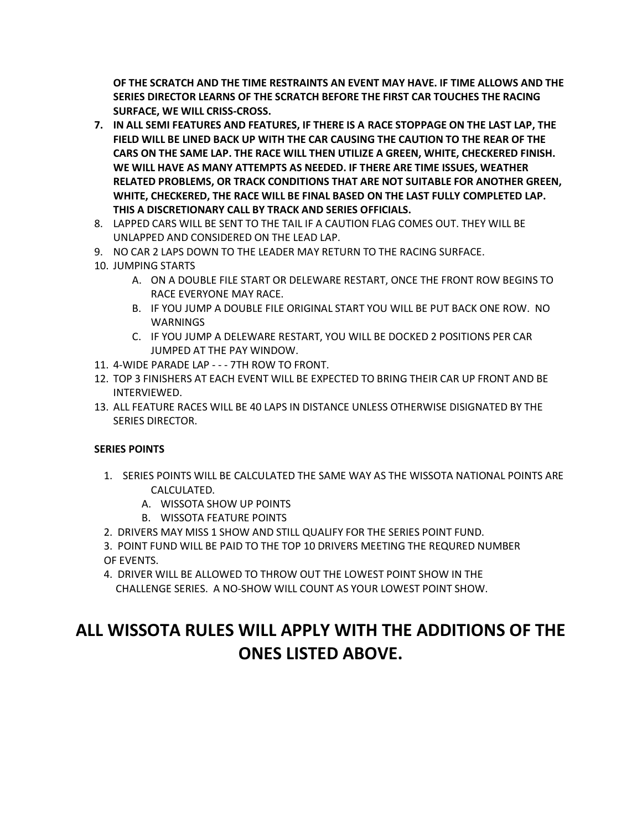**OF THE SCRATCH AND THE TIME RESTRAINTS AN EVENT MAY HAVE. IF TIME ALLOWS AND THE SERIES DIRECTOR LEARNS OF THE SCRATCH BEFORE THE FIRST CAR TOUCHES THE RACING SURFACE, WE WILL CRISS-CROSS.**

- **7. IN ALL SEMI FEATURES AND FEATURES, IF THERE IS A RACE STOPPAGE ON THE LAST LAP, THE FIELD WILL BE LINED BACK UP WITH THE CAR CAUSING THE CAUTION TO THE REAR OF THE CARS ON THE SAME LAP. THE RACE WILL THEN UTILIZE A GREEN, WHITE, CHECKERED FINISH. WE WILL HAVE AS MANY ATTEMPTS AS NEEDED. IF THERE ARE TIME ISSUES, WEATHER RELATED PROBLEMS, OR TRACK CONDITIONS THAT ARE NOT SUITABLE FOR ANOTHER GREEN, WHITE, CHECKERED, THE RACE WILL BE FINAL BASED ON THE LAST FULLY COMPLETED LAP. THIS A DISCRETIONARY CALL BY TRACK AND SERIES OFFICIALS.**
- 8. LAPPED CARS WILL BE SENT TO THE TAIL IF A CAUTION FLAG COMES OUT. THEY WILL BE UNLAPPED AND CONSIDERED ON THE LEAD LAP.
- 9. NO CAR 2 LAPS DOWN TO THE LEADER MAY RETURN TO THE RACING SURFACE.
- 10. JUMPING STARTS
	- A. ON A DOUBLE FILE START OR DELEWARE RESTART, ONCE THE FRONT ROW BEGINS TO RACE EVERYONE MAY RACE.
	- B. IF YOU JUMP A DOUBLE FILE ORIGINAL START YOU WILL BE PUT BACK ONE ROW. NO WARNINGS
	- C. IF YOU JUMP A DELEWARE RESTART, YOU WILL BE DOCKED 2 POSITIONS PER CAR JUMPED AT THE PAY WINDOW.
- 11. 4-WIDE PARADE LAP - 7TH ROW TO FRONT.
- 12. TOP 3 FINISHERS AT EACH EVENT WILL BE EXPECTED TO BRING THEIR CAR UP FRONT AND BE INTERVIEWED.
- 13. ALL FEATURE RACES WILL BE 40 LAPS IN DISTANCE UNLESS OTHERWISE DISIGNATED BY THE SERIES DIRECTOR.

#### **SERIES POINTS**

- 1. SERIES POINTS WILL BE CALCULATED THE SAME WAY AS THE WISSOTA NATIONAL POINTS ARE CALCULATED.
	- A. WISSOTA SHOW UP POINTS
	- B. WISSOTA FEATURE POINTS
- 2. DRIVERS MAY MISS 1 SHOW AND STILL QUALIFY FOR THE SERIES POINT FUND.
- 3. POINT FUND WILL BE PAID TO THE TOP 10 DRIVERS MEETING THE REQURED NUMBER OF EVENTS.
- 4. DRIVER WILL BE ALLOWED TO THROW OUT THE LOWEST POINT SHOW IN THE CHALLENGE SERIES. A NO-SHOW WILL COUNT AS YOUR LOWEST POINT SHOW.

### **ALL WISSOTA RULES WILL APPLY WITH THE ADDITIONS OF THE ONES LISTED ABOVE.**